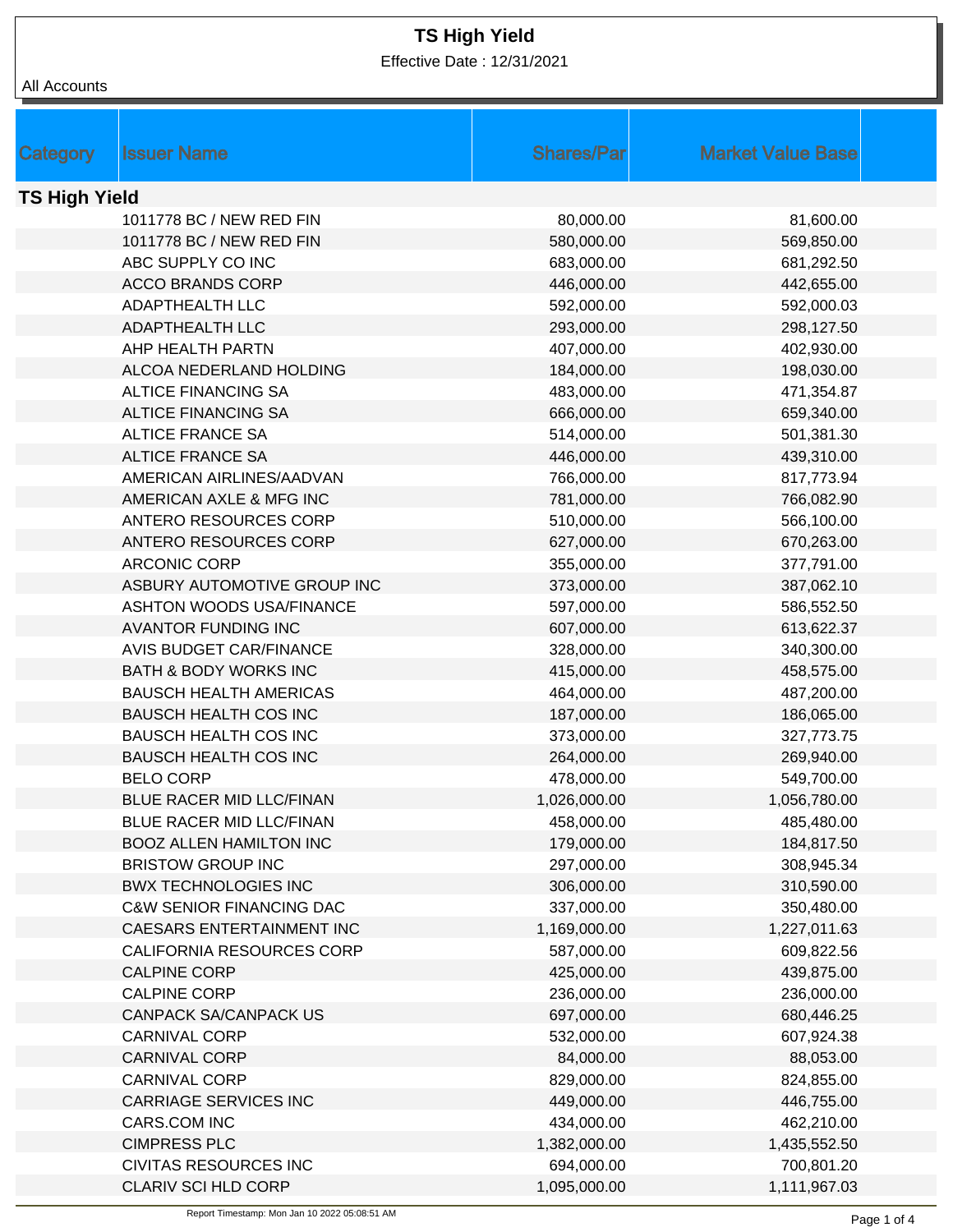Effective Date : 12/31/2021

| All Accounts |
|--------------|
|--------------|

|          | <b>Issuer Name</b>                  | <b>Shares/Par</b> | <b>Market Value Base</b> |  |  |
|----------|-------------------------------------|-------------------|--------------------------|--|--|
| Category |                                     |                   |                          |  |  |
|          | <b>TS High Yield</b>                |                   |                          |  |  |
|          | 1011778 BC / NEW RED FIN            | 80,000.00         | 81,600.00                |  |  |
|          | 1011778 BC / NEW RED FIN            | 580,000.00        | 569,850.00               |  |  |
|          | ABC SUPPLY CO INC                   | 683,000.00        | 681,292.50               |  |  |
|          | <b>ACCO BRANDS CORP</b>             | 446,000.00        | 442,655.00               |  |  |
|          | <b>ADAPTHEALTH LLC</b>              | 592,000.00        | 592,000.03               |  |  |
|          | ADAPTHEALTH LLC                     | 293,000.00        | 298,127.50               |  |  |
|          | AHP HEALTH PARTN                    | 407,000.00        | 402,930.00               |  |  |
|          | ALCOA NEDERLAND HOLDING             | 184,000.00        | 198,030.00               |  |  |
|          | <b>ALTICE FINANCING SA</b>          | 483,000.00        | 471,354.87               |  |  |
|          | <b>ALTICE FINANCING SA</b>          | 666,000.00        | 659,340.00               |  |  |
|          | <b>ALTICE FRANCE SA</b>             | 514,000.00        | 501,381.30               |  |  |
|          | <b>ALTICE FRANCE SA</b>             | 446,000.00        | 439,310.00               |  |  |
|          | AMERICAN AIRLINES/AADVAN            | 766,000.00        | 817,773.94               |  |  |
|          | AMERICAN AXLE & MFG INC             | 781,000.00        | 766,082.90               |  |  |
|          | <b>ANTERO RESOURCES CORP</b>        | 510,000.00        | 566,100.00               |  |  |
|          | ANTERO RESOURCES CORP               | 627,000.00        | 670,263.00               |  |  |
|          | <b>ARCONIC CORP</b>                 | 355,000.00        | 377,791.00               |  |  |
|          | ASBURY AUTOMOTIVE GROUP INC         | 373,000.00        | 387,062.10               |  |  |
|          | <b>ASHTON WOODS USA/FINANCE</b>     | 597,000.00        | 586,552.50               |  |  |
|          | <b>AVANTOR FUNDING INC</b>          | 607,000.00        | 613,622.37               |  |  |
|          | <b>AVIS BUDGET CAR/FINANCE</b>      | 328,000.00        | 340,300.00               |  |  |
|          | <b>BATH &amp; BODY WORKS INC</b>    | 415,000.00        | 458,575.00               |  |  |
|          | <b>BAUSCH HEALTH AMERICAS</b>       | 464,000.00        | 487,200.00               |  |  |
|          | <b>BAUSCH HEALTH COS INC</b>        | 187,000.00        | 186,065.00               |  |  |
|          | <b>BAUSCH HEALTH COS INC</b>        | 373,000.00        | 327,773.75               |  |  |
|          | <b>BAUSCH HEALTH COS INC</b>        | 264,000.00        | 269,940.00               |  |  |
|          | <b>BELO CORP</b>                    | 478,000.00        | 549,700.00               |  |  |
|          | BLUE RACER MID LLC/FINAN            | 1,026,000.00      | 1,056,780.00             |  |  |
|          | BLUE RACER MID LLC/FINAN            | 458,000.00        | 485,480.00               |  |  |
|          | <b>BOOZ ALLEN HAMILTON INC</b>      | 179,000.00        | 184,817.50               |  |  |
|          | <b>BRISTOW GROUP INC</b>            | 297,000.00        | 308,945.34               |  |  |
|          | <b>BWX TECHNOLOGIES INC</b>         | 306,000.00        | 310,590.00               |  |  |
|          | <b>C&amp;W SENIOR FINANCING DAC</b> | 337,000.00        | 350,480.00               |  |  |
|          | CAESARS ENTERTAINMENT INC           | 1,169,000.00      | 1,227,011.63             |  |  |
|          | CALIFORNIA RESOURCES CORP           | 587,000.00        | 609,822.56               |  |  |
|          | <b>CALPINE CORP</b>                 | 425,000.00        | 439,875.00               |  |  |
|          | <b>CALPINE CORP</b>                 | 236,000.00        | 236,000.00               |  |  |
|          | <b>CANPACK SA/CANPACK US</b>        | 697,000.00        | 680,446.25               |  |  |
|          | <b>CARNIVAL CORP</b>                | 532,000.00        | 607,924.38               |  |  |
|          | <b>CARNIVAL CORP</b>                | 84,000.00         | 88,053.00                |  |  |
|          | CARNIVAL CORP                       | 829,000.00        | 824,855.00               |  |  |
|          | <b>CARRIAGE SERVICES INC</b>        | 449,000.00        | 446,755.00               |  |  |
|          | CARS.COM INC                        | 434,000.00        | 462,210.00               |  |  |
|          | <b>CIMPRESS PLC</b>                 | 1,382,000.00      | 1,435,552.50             |  |  |
|          | <b>CIVITAS RESOURCES INC</b>        | 694,000.00        | 700,801.20               |  |  |
|          | CLARIV SCI HLD CORP                 | 1,095,000.00      | 1,111,967.03             |  |  |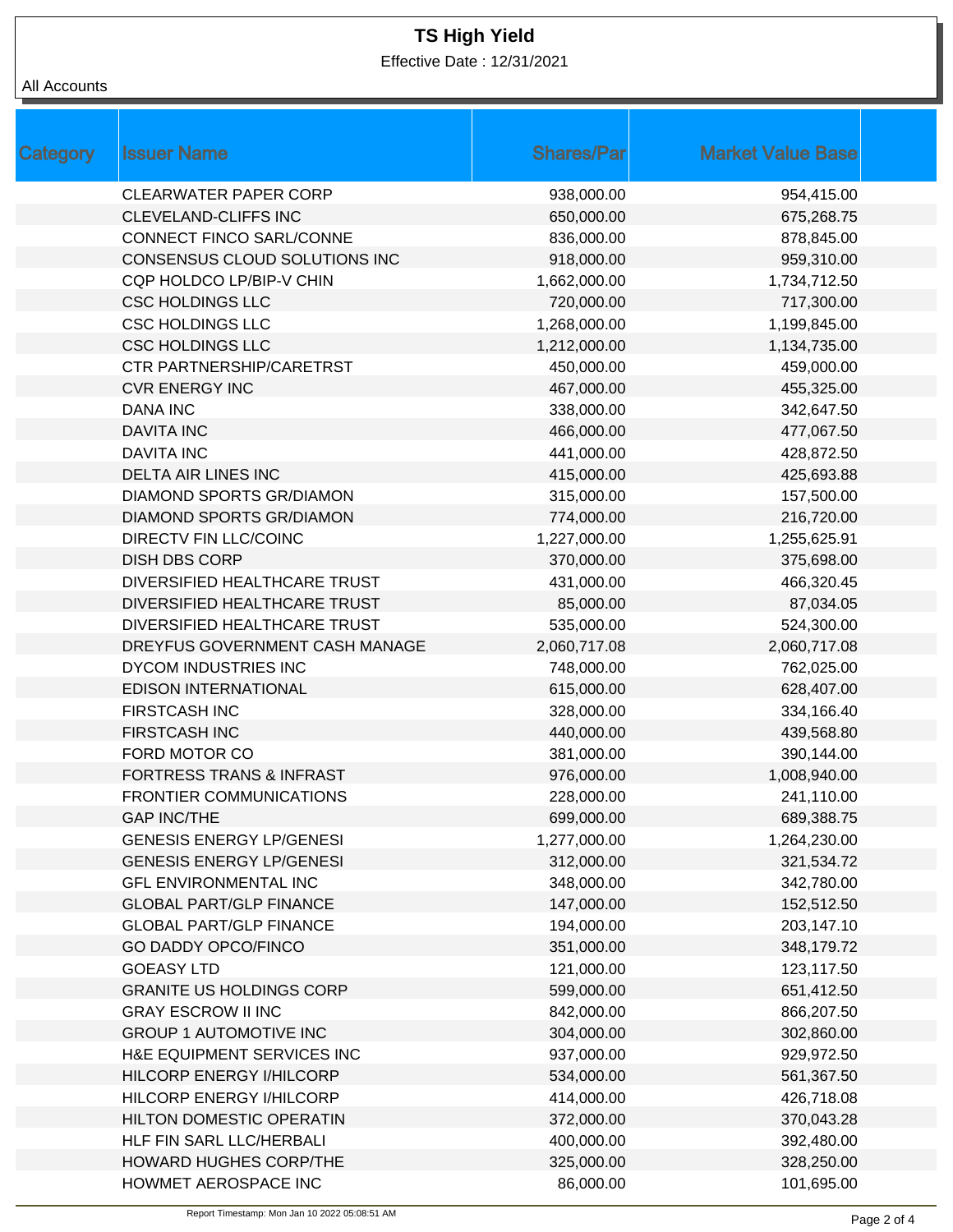Effective Date : 12/31/2021

#### All Accounts

| Category | <b>Issuer Name</b>                  | <b>Shares/Par</b> | <b>Market Value Base</b> |
|----------|-------------------------------------|-------------------|--------------------------|
|          | <b>CLEARWATER PAPER CORP</b>        | 938,000.00        | 954,415.00               |
|          | <b>CLEVELAND-CLIFFS INC</b>         | 650,000.00        | 675,268.75               |
|          | CONNECT FINCO SARL/CONNE            | 836,000.00        | 878,845.00               |
|          | CONSENSUS CLOUD SOLUTIONS INC       | 918,000.00        | 959,310.00               |
|          | CQP HOLDCO LP/BIP-V CHIN            | 1,662,000.00      | 1,734,712.50             |
|          | <b>CSC HOLDINGS LLC</b>             | 720,000.00        | 717,300.00               |
|          | <b>CSC HOLDINGS LLC</b>             | 1,268,000.00      | 1,199,845.00             |
|          | <b>CSC HOLDINGS LLC</b>             | 1,212,000.00      | 1,134,735.00             |
|          | <b>CTR PARTNERSHIP/CARETRST</b>     | 450,000.00        | 459,000.00               |
|          | <b>CVR ENERGY INC</b>               | 467,000.00        | 455,325.00               |
|          | <b>DANA INC</b>                     | 338,000.00        | 342,647.50               |
|          | <b>DAVITA INC</b>                   | 466,000.00        | 477,067.50               |
|          | <b>DAVITA INC</b>                   | 441,000.00        | 428,872.50               |
|          | <b>DELTA AIR LINES INC</b>          | 415,000.00        | 425,693.88               |
|          | DIAMOND SPORTS GR/DIAMON            | 315,000.00        | 157,500.00               |
|          | <b>DIAMOND SPORTS GR/DIAMON</b>     | 774,000.00        | 216,720.00               |
|          | DIRECTV FIN LLC/COINC               | 1,227,000.00      | 1,255,625.91             |
|          | <b>DISH DBS CORP</b>                | 370,000.00        | 375,698.00               |
|          | DIVERSIFIED HEALTHCARE TRUST        | 431,000.00        | 466,320.45               |
|          | DIVERSIFIED HEALTHCARE TRUST        | 85,000.00         | 87,034.05                |
|          | DIVERSIFIED HEALTHCARE TRUST        | 535,000.00        | 524,300.00               |
|          | DREYFUS GOVERNMENT CASH MANAGE      | 2,060,717.08      | 2,060,717.08             |
|          | DYCOM INDUSTRIES INC                | 748,000.00        | 762,025.00               |
|          | <b>EDISON INTERNATIONAL</b>         | 615,000.00        | 628,407.00               |
|          | <b>FIRSTCASH INC</b>                | 328,000.00        | 334,166.40               |
|          | <b>FIRSTCASH INC</b>                | 440,000.00        | 439,568.80               |
|          | FORD MOTOR CO                       | 381,000.00        | 390,144.00               |
|          | <b>FORTRESS TRANS &amp; INFRAST</b> | 976,000.00        | 1,008,940.00             |
|          | <b>FRONTIER COMMUNICATIONS</b>      | 228,000.00        | 241,110.00               |
|          | <b>GAP INC/THE</b>                  | 699,000.00        | 689,388.75               |
|          | <b>GENESIS ENERGY LP/GENESI</b>     | 1,277,000.00      | 1,264,230.00             |
|          | <b>GENESIS ENERGY LP/GENESI</b>     | 312,000.00        | 321,534.72               |
|          | <b>GFL ENVIRONMENTAL INC</b>        | 348,000.00        | 342,780.00               |
|          | <b>GLOBAL PART/GLP FINANCE</b>      | 147,000.00        | 152,512.50               |
|          | <b>GLOBAL PART/GLP FINANCE</b>      | 194,000.00        | 203,147.10               |
|          | <b>GO DADDY OPCO/FINCO</b>          | 351,000.00        | 348,179.72               |
|          | <b>GOEASY LTD</b>                   | 121,000.00        | 123,117.50               |
|          | <b>GRANITE US HOLDINGS CORP</b>     | 599,000.00        | 651,412.50               |
|          | <b>GRAY ESCROW II INC</b>           | 842,000.00        | 866,207.50               |
|          | <b>GROUP 1 AUTOMOTIVE INC</b>       | 304,000.00        | 302,860.00               |
|          | H&E EQUIPMENT SERVICES INC          | 937,000.00        | 929,972.50               |
|          | HILCORP ENERGY I/HILCORP            | 534,000.00        | 561,367.50               |
|          | HILCORP ENERGY I/HILCORP            | 414,000.00        | 426,718.08               |
|          | <b>HILTON DOMESTIC OPERATIN</b>     | 372,000.00        | 370,043.28               |
|          | HLF FIN SARL LLC/HERBALI            | 400,000.00        | 392,480.00               |
|          | <b>HOWARD HUGHES CORP/THE</b>       | 325,000.00        | 328,250.00               |
|          | HOWMET AEROSPACE INC                | 86,000.00         | 101,695.00               |
|          |                                     |                   |                          |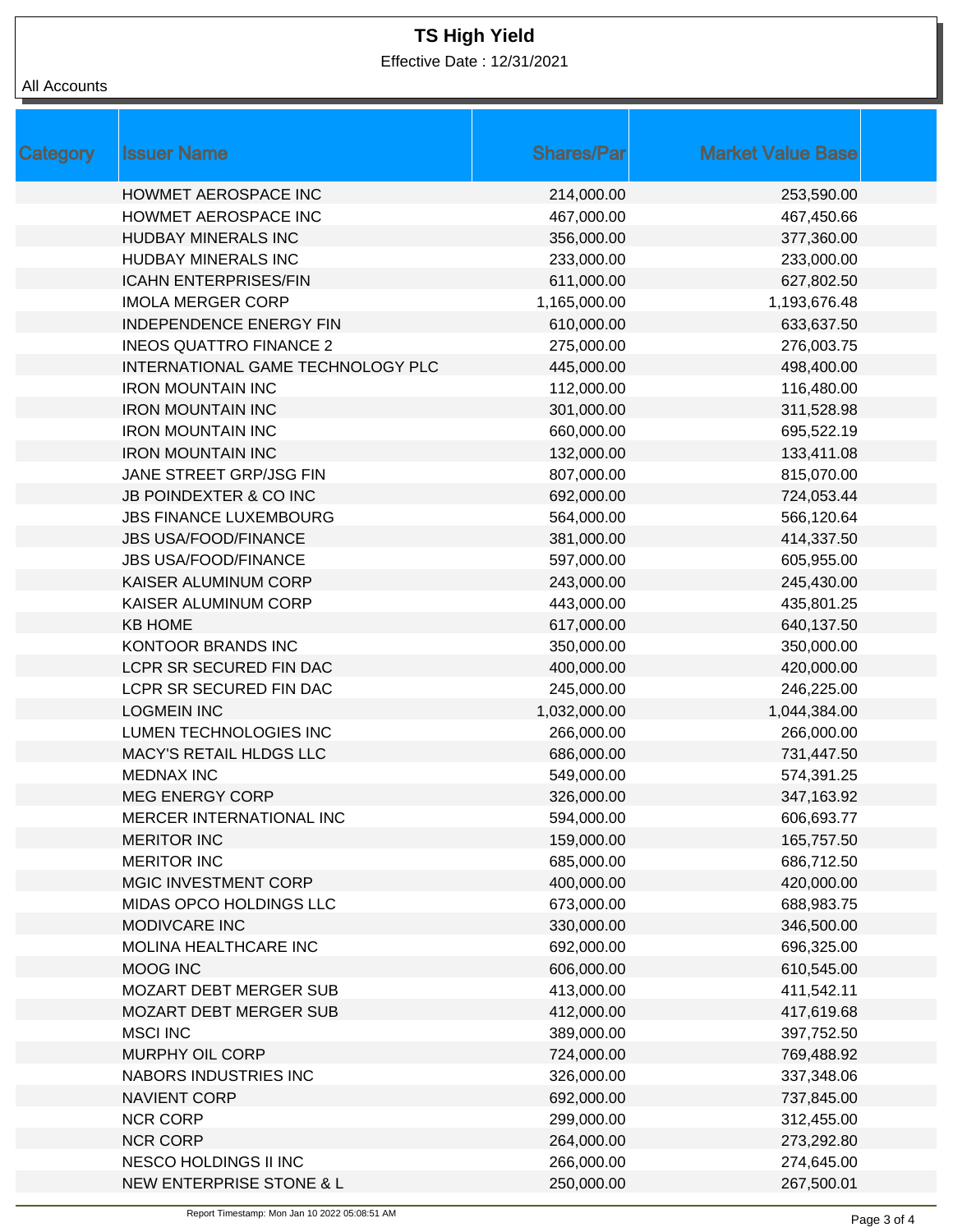Effective Date : 12/31/2021

| All Accounts |  |
|--------------|--|
|--------------|--|

| Category | <b>Issuer Name</b>                | <b>Shares/Par</b> | <b>Market Value Base</b> |  |
|----------|-----------------------------------|-------------------|--------------------------|--|
|          | <b>HOWMET AEROSPACE INC</b>       | 214,000.00        | 253,590.00               |  |
|          | HOWMET AEROSPACE INC              | 467,000.00        | 467,450.66               |  |
|          | <b>HUDBAY MINERALS INC</b>        | 356,000.00        | 377,360.00               |  |
|          | HUDBAY MINERALS INC               | 233,000.00        | 233,000.00               |  |
|          | <b>ICAHN ENTERPRISES/FIN</b>      | 611,000.00        | 627,802.50               |  |
|          | <b>IMOLA MERGER CORP</b>          | 1,165,000.00      | 1,193,676.48             |  |
|          | <b>INDEPENDENCE ENERGY FIN</b>    | 610,000.00        | 633,637.50               |  |
|          | <b>INEOS QUATTRO FINANCE 2</b>    | 275,000.00        | 276,003.75               |  |
|          | INTERNATIONAL GAME TECHNOLOGY PLC | 445,000.00        | 498,400.00               |  |
|          | <b>IRON MOUNTAIN INC</b>          | 112,000.00        | 116,480.00               |  |
|          | <b>IRON MOUNTAIN INC</b>          | 301,000.00        | 311,528.98               |  |
|          | <b>IRON MOUNTAIN INC</b>          | 660,000.00        | 695,522.19               |  |
|          | <b>IRON MOUNTAIN INC</b>          | 132,000.00        | 133,411.08               |  |
|          | JANE STREET GRP/JSG FIN           | 807,000.00        | 815,070.00               |  |
|          | <b>JB POINDEXTER &amp; CO INC</b> | 692,000.00        | 724,053.44               |  |
|          | <b>JBS FINANCE LUXEMBOURG</b>     | 564,000.00        | 566,120.64               |  |
|          | <b>JBS USA/FOOD/FINANCE</b>       | 381,000.00        | 414,337.50               |  |
|          | <b>JBS USA/FOOD/FINANCE</b>       | 597,000.00        | 605,955.00               |  |
|          | KAISER ALUMINUM CORP              | 243,000.00        | 245,430.00               |  |
|          | KAISER ALUMINUM CORP              | 443,000.00        | 435,801.25               |  |
|          | <b>KB HOME</b>                    | 617,000.00        | 640,137.50               |  |
|          | <b>KONTOOR BRANDS INC</b>         | 350,000.00        | 350,000.00               |  |
|          | LCPR SR SECURED FIN DAC           | 400,000.00        | 420,000.00               |  |
|          | LCPR SR SECURED FIN DAC           | 245,000.00        | 246,225.00               |  |
|          | <b>LOGMEIN INC</b>                | 1,032,000.00      | 1,044,384.00             |  |
|          | LUMEN TECHNOLOGIES INC            | 266,000.00        | 266,000.00               |  |
|          | MACY'S RETAIL HLDGS LLC           | 686,000.00        | 731,447.50               |  |
|          | <b>MEDNAX INC</b>                 | 549,000.00        | 574,391.25               |  |
|          | <b>MEG ENERGY CORP</b>            | 326,000.00        | 347,163.92               |  |
|          | MERCER INTERNATIONAL INC          | 594,000.00        | 606,693.77               |  |
|          | <b>MERITOR INC</b>                | 159,000.00        | 165,757.50               |  |
|          | <b>MERITOR INC</b>                | 685,000.00        | 686,712.50               |  |
|          | MGIC INVESTMENT CORP              | 400,000.00        | 420,000.00               |  |
|          | MIDAS OPCO HOLDINGS LLC           | 673,000.00        | 688,983.75               |  |
|          | MODIVCARE INC                     | 330,000.00        | 346,500.00               |  |
|          | MOLINA HEALTHCARE INC             | 692,000.00        | 696,325.00               |  |
|          | MOOG INC                          | 606,000.00        | 610,545.00               |  |
|          | <b>MOZART DEBT MERGER SUB</b>     | 413,000.00        | 411,542.11               |  |
|          | MOZART DEBT MERGER SUB            | 412,000.00        | 417,619.68               |  |
|          | <b>MSCI INC</b>                   | 389,000.00        | 397,752.50               |  |
|          | MURPHY OIL CORP                   | 724,000.00        | 769,488.92               |  |
|          | NABORS INDUSTRIES INC             | 326,000.00        | 337,348.06               |  |
|          | <b>NAVIENT CORP</b>               | 692,000.00        | 737,845.00               |  |
|          | <b>NCR CORP</b>                   | 299,000.00        | 312,455.00               |  |
|          | <b>NCR CORP</b>                   | 264,000.00        | 273,292.80               |  |
|          | NESCO HOLDINGS II INC             | 266,000.00        | 274,645.00               |  |
|          | NEW ENTERPRISE STONE & L          | 250,000.00        | 267,500.01               |  |
|          |                                   |                   |                          |  |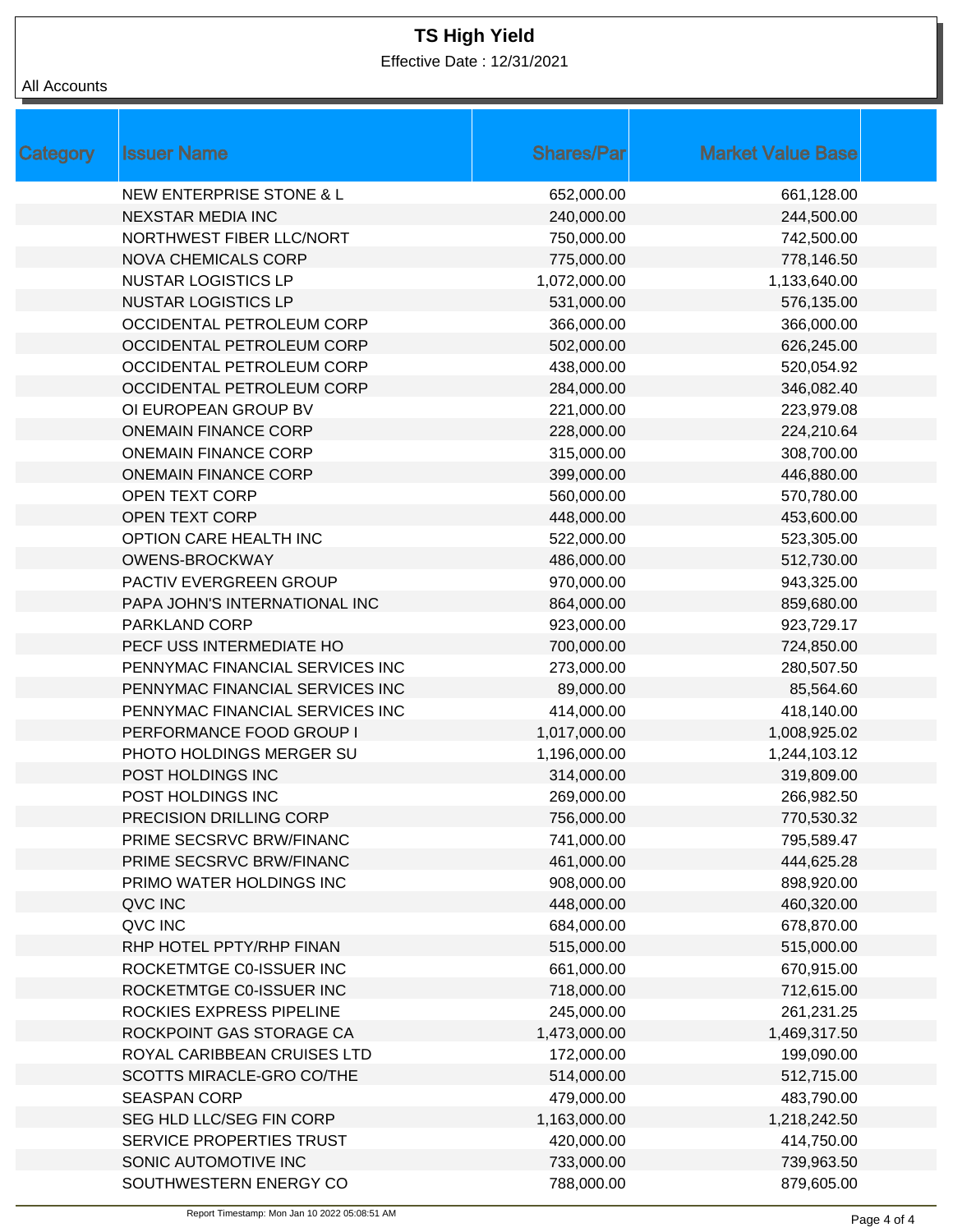Effective Date : 12/31/2021

#### All Accounts

| <b>Shares/Par</b> | <b>Market Value Base</b> |
|-------------------|--------------------------|
| 652,000.00        | 661,128.00               |
| 240,000.00        | 244,500.00               |
| 750,000.00        | 742,500.00               |
| 775,000.00        | 778,146.50               |
| 1,072,000.00      | 1,133,640.00             |
| 531,000.00        | 576,135.00               |
| 366,000.00        | 366,000.00               |
| 502,000.00        | 626,245.00               |
| 438,000.00        | 520,054.92               |
| 284,000.00        | 346,082.40               |
| 221,000.00        | 223,979.08               |
| 228,000.00        | 224,210.64               |
| 315,000.00        | 308,700.00               |
| 399,000.00        | 446,880.00               |
| 560,000.00        | 570,780.00               |
| 448,000.00        | 453,600.00               |
| 522,000.00        | 523,305.00               |
| 486,000.00        | 512,730.00               |
| 970,000.00        | 943,325.00               |
| 864,000.00        | 859,680.00               |
| 923,000.00        | 923,729.17               |
| 700,000.00        | 724,850.00               |
| 273,000.00        | 280,507.50               |
| 89,000.00         | 85,564.60                |
| 414,000.00        | 418,140.00               |
| 1,017,000.00      | 1,008,925.02             |
| 1,196,000.00      | 1,244,103.12             |
| 314,000.00        | 319,809.00               |
| 269,000.00        | 266,982.50               |
| 756,000.00        | 770,530.32               |
| 741,000.00        | 795,589.47               |
| 461,000.00        | 444,625.28               |
| 908,000.00        | 898,920.00               |
| 448,000.00        | 460,320.00               |
| 684,000.00        | 678,870.00               |
| 515,000.00        | 515,000.00               |
| 661,000.00        | 670,915.00               |
| 718,000.00        | 712,615.00               |
| 245,000.00        | 261,231.25               |
| 1,473,000.00      | 1,469,317.50             |
| 172,000.00        | 199,090.00               |
| 514,000.00        | 512,715.00               |
| 479,000.00        | 483,790.00               |
| 1,163,000.00      | 1,218,242.50             |
| 420,000.00        | 414,750.00               |
| 733,000.00        | 739,963.50               |
| 788,000.00        | 879,605.00               |
|                   |                          |